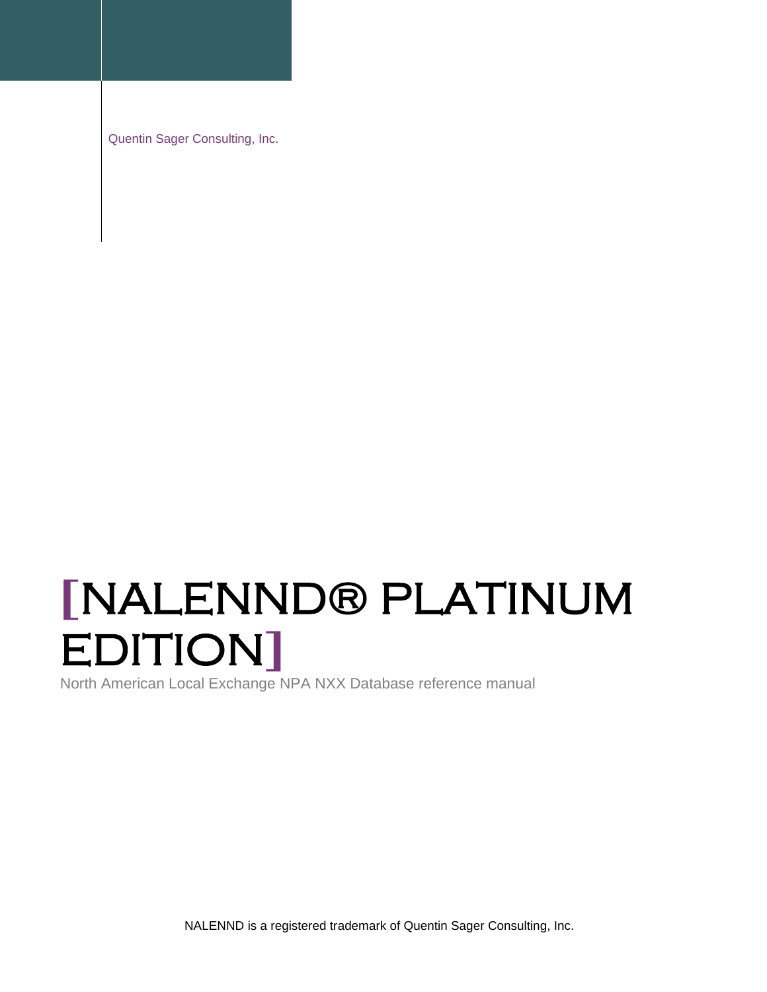Quentin Sager Consulting, Inc.

# **[**NALENND® PLATINUM EDITION**]**

North American Local Exchange NPA NXX Database reference manual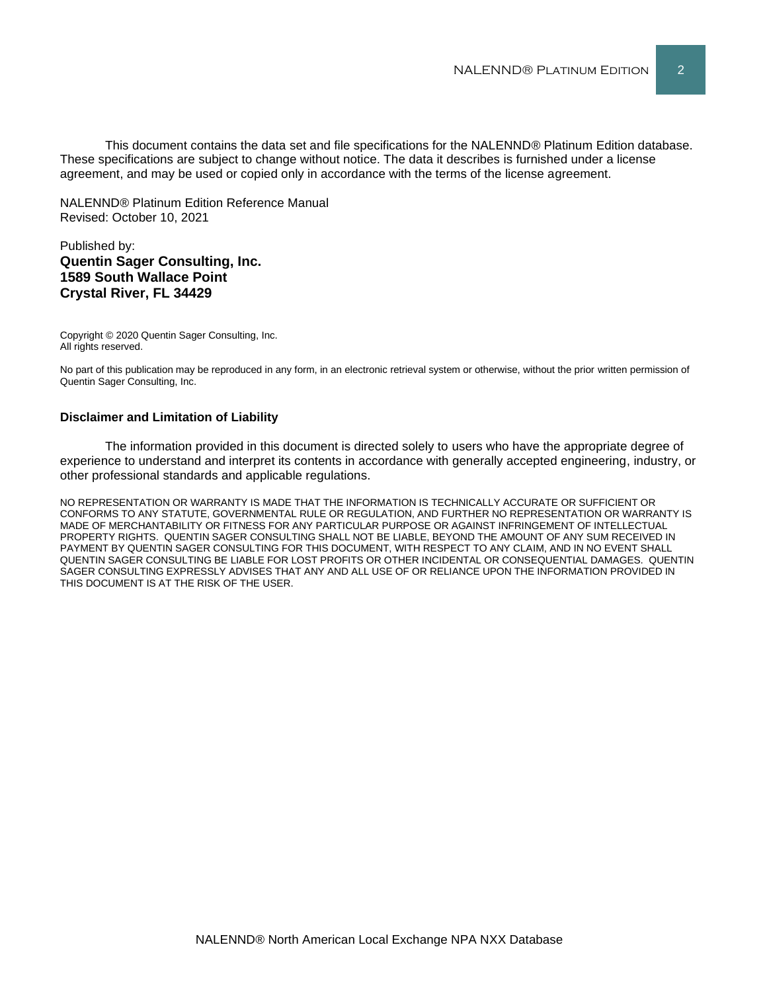This document contains the data set and file specifications for the NALENND® Platinum Edition database. These specifications are subject to change without notice. The data it describes is furnished under a license agreement, and may be used or copied only in accordance with the terms of the license agreement.

NALENND® Platinum Edition Reference Manual Revised: October 10, 2021

#### Published by: **Quentin Sager Consulting, Inc. 1589 South Wallace Point Crystal River, FL 34429**

Copyright © 2020 Quentin Sager Consulting, Inc. All rights reserved.

No part of this publication may be reproduced in any form, in an electronic retrieval system or otherwise, without the prior written permission of Quentin Sager Consulting, Inc.

#### **Disclaimer and Limitation of Liability**

The information provided in this document is directed solely to users who have the appropriate degree of experience to understand and interpret its contents in accordance with generally accepted engineering, industry, or other professional standards and applicable regulations.

NO REPRESENTATION OR WARRANTY IS MADE THAT THE INFORMATION IS TECHNICALLY ACCURATE OR SUFFICIENT OR CONFORMS TO ANY STATUTE, GOVERNMENTAL RULE OR REGULATION, AND FURTHER NO REPRESENTATION OR WARRANTY IS MADE OF MERCHANTABILITY OR FITNESS FOR ANY PARTICULAR PURPOSE OR AGAINST INFRINGEMENT OF INTELLECTUAL PROPERTY RIGHTS. QUENTIN SAGER CONSULTING SHALL NOT BE LIABLE, BEYOND THE AMOUNT OF ANY SUM RECEIVED IN PAYMENT BY QUENTIN SAGER CONSULTING FOR THIS DOCUMENT, WITH RESPECT TO ANY CLAIM, AND IN NO EVENT SHALL QUENTIN SAGER CONSULTING BE LIABLE FOR LOST PROFITS OR OTHER INCIDENTAL OR CONSEQUENTIAL DAMAGES. QUENTIN SAGER CONSULTING EXPRESSLY ADVISES THAT ANY AND ALL USE OF OR RELIANCE UPON THE INFORMATION PROVIDED IN THIS DOCUMENT IS AT THE RISK OF THE USER.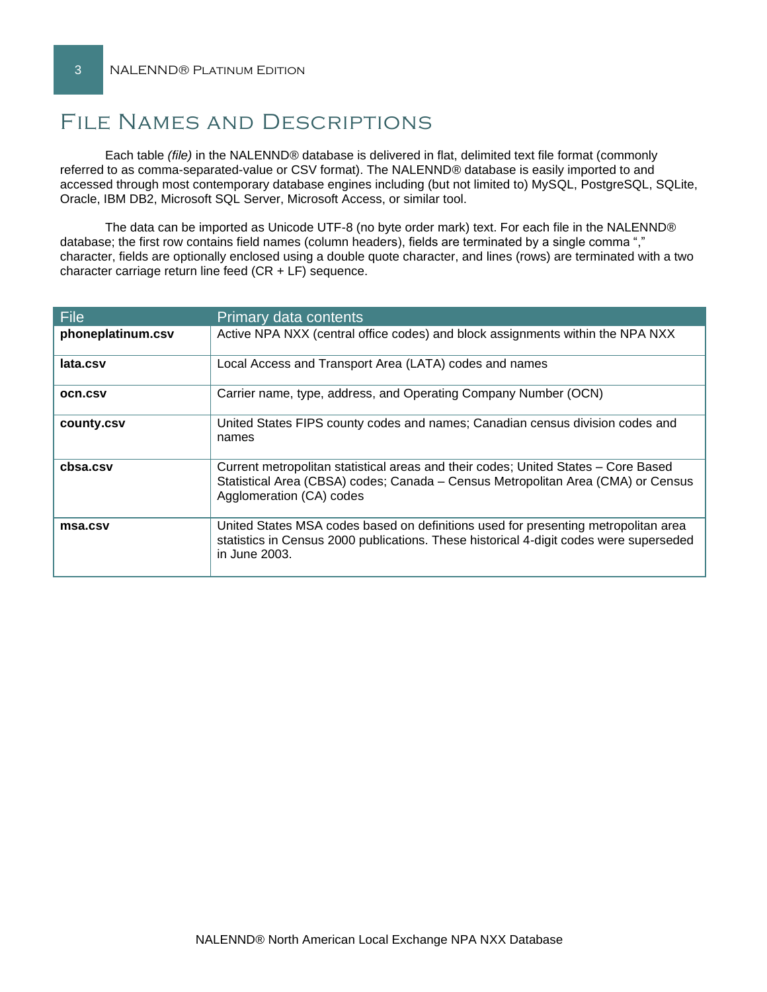# File Names and Descriptions

Each table *(file)* in the NALENND® database is delivered in flat, delimited text file format (commonly referred to as comma-separated-value or CSV format). The NALENND® database is easily imported to and accessed through most contemporary database engines including (but not limited to) MySQL, PostgreSQL, SQLite, Oracle, IBM DB2, Microsoft SQL Server, Microsoft Access, or similar tool.

The data can be imported as Unicode UTF-8 (no byte order mark) text. For each file in the NALENND® database; the first row contains field names (column headers), fields are terminated by a single comma "," character, fields are optionally enclosed using a double quote character, and lines (rows) are terminated with a two character carriage return line feed (CR + LF) sequence.

| File              | Primary data contents                                                                                                                                                                              |
|-------------------|----------------------------------------------------------------------------------------------------------------------------------------------------------------------------------------------------|
| phoneplatinum.csv | Active NPA NXX (central office codes) and block assignments within the NPA NXX                                                                                                                     |
| lata.csv          | Local Access and Transport Area (LATA) codes and names                                                                                                                                             |
| <b>OCN.CSV</b>    | Carrier name, type, address, and Operating Company Number (OCN)                                                                                                                                    |
| county.csv        | United States FIPS county codes and names; Canadian census division codes and<br>names                                                                                                             |
| cbsa.csv          | Current metropolitan statistical areas and their codes; United States – Core Based<br>Statistical Area (CBSA) codes; Canada - Census Metropolitan Area (CMA) or Census<br>Agglomeration (CA) codes |
| msa.csv           | United States MSA codes based on definitions used for presenting metropolitan area<br>statistics in Census 2000 publications. These historical 4-digit codes were superseded<br>in June 2003.      |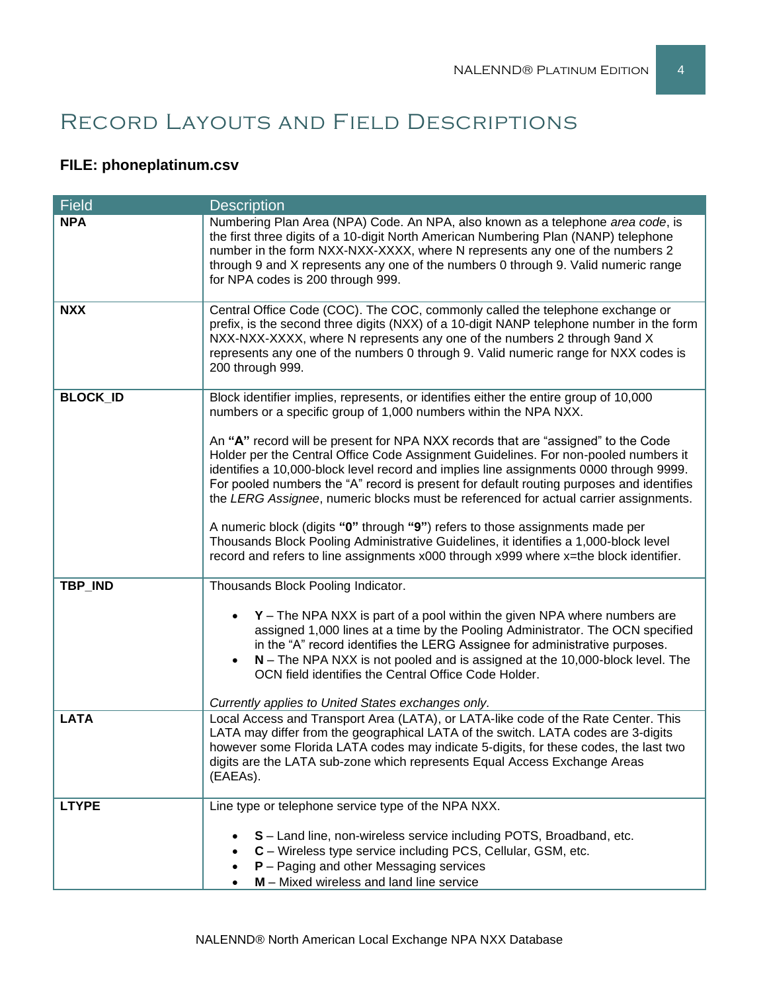# Record Layouts and Field Descriptions

## **FILE: phoneplatinum.csv**

| <b>Field</b>    | <b>Description</b>                                                                                                                                                                                                                                                                                                                                                                                                                                     |
|-----------------|--------------------------------------------------------------------------------------------------------------------------------------------------------------------------------------------------------------------------------------------------------------------------------------------------------------------------------------------------------------------------------------------------------------------------------------------------------|
| <b>NPA</b>      | Numbering Plan Area (NPA) Code. An NPA, also known as a telephone area code, is<br>the first three digits of a 10-digit North American Numbering Plan (NANP) telephone<br>number in the form NXX-NXX-XXXX, where N represents any one of the numbers 2<br>through 9 and X represents any one of the numbers 0 through 9. Valid numeric range<br>for NPA codes is 200 through 999.                                                                      |
| <b>NXX</b>      | Central Office Code (COC). The COC, commonly called the telephone exchange or<br>prefix, is the second three digits (NXX) of a 10-digit NANP telephone number in the form<br>NXX-NXX-XXXX, where N represents any one of the numbers 2 through 9and X<br>represents any one of the numbers 0 through 9. Valid numeric range for NXX codes is<br>200 through 999.                                                                                       |
| <b>BLOCK_ID</b> | Block identifier implies, represents, or identifies either the entire group of 10,000<br>numbers or a specific group of 1,000 numbers within the NPA NXX.                                                                                                                                                                                                                                                                                              |
|                 | An "A" record will be present for NPA NXX records that are "assigned" to the Code<br>Holder per the Central Office Code Assignment Guidelines. For non-pooled numbers it<br>identifies a 10,000-block level record and implies line assignments 0000 through 9999.<br>For pooled numbers the "A" record is present for default routing purposes and identifies<br>the LERG Assignee, numeric blocks must be referenced for actual carrier assignments. |
|                 | A numeric block (digits "0" through "9") refers to those assignments made per<br>Thousands Block Pooling Administrative Guidelines, it identifies a 1,000-block level<br>record and refers to line assignments x000 through x999 where x=the block identifier.                                                                                                                                                                                         |
| TBP_IND         | Thousands Block Pooling Indicator.                                                                                                                                                                                                                                                                                                                                                                                                                     |
|                 | $Y$ – The NPA NXX is part of a pool within the given NPA where numbers are<br>assigned 1,000 lines at a time by the Pooling Administrator. The OCN specified<br>in the "A" record identifies the LERG Assignee for administrative purposes.<br>$N$ – The NPA NXX is not pooled and is assigned at the 10,000-block level. The<br>OCN field identifies the Central Office Code Holder.                                                                  |
|                 | Currently applies to United States exchanges only.                                                                                                                                                                                                                                                                                                                                                                                                     |
| <b>LATA</b>     | Local Access and Transport Area (LATA), or LATA-like code of the Rate Center. This<br>LATA may differ from the geographical LATA of the switch. LATA codes are 3-digits<br>however some Florida LATA codes may indicate 5-digits, for these codes, the last two<br>digits are the LATA sub-zone which represents Equal Access Exchange Areas<br>(EAEAs).                                                                                               |
| <b>LTYPE</b>    | Line type or telephone service type of the NPA NXX.                                                                                                                                                                                                                                                                                                                                                                                                    |
|                 | S - Land line, non-wireless service including POTS, Broadband, etc.<br>C - Wireless type service including PCS, Cellular, GSM, etc.<br>$P -$ Paging and other Messaging services<br>M - Mixed wireless and land line service                                                                                                                                                                                                                           |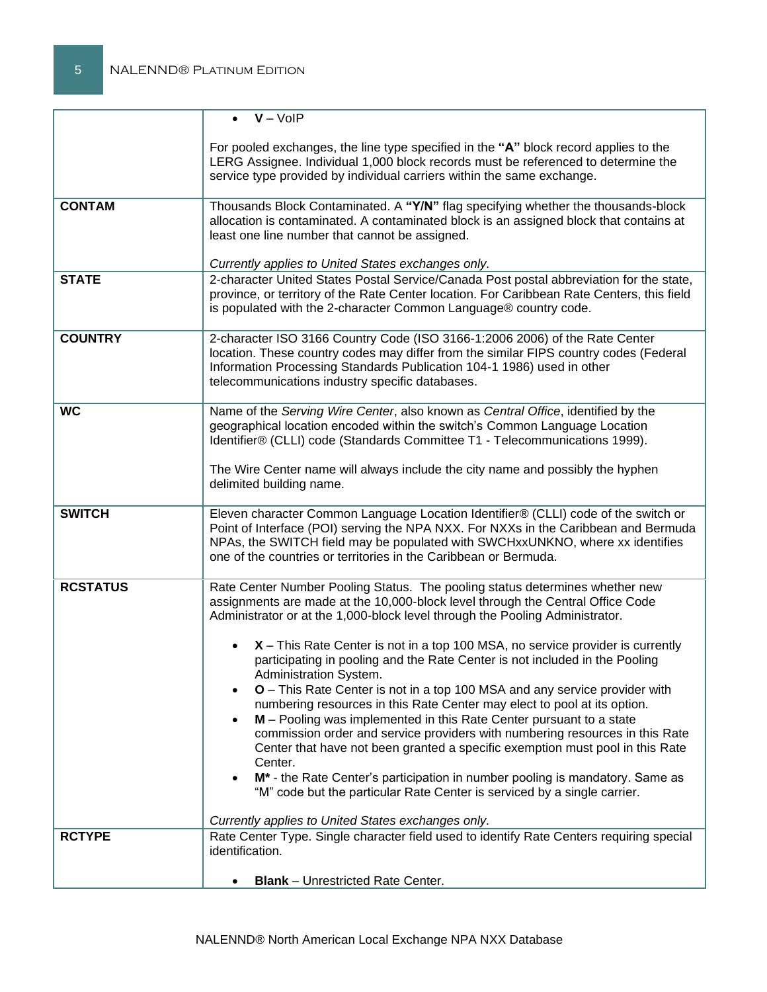|                                  | $\bullet$ $V - VolP$                                                                                                                                                                                                                                                                                                                                                                                                                                                                                                                                                                                                                                                                                                                                                                                                                                                                                                                                                                                                                                                                                                                                                                                 |
|----------------------------------|------------------------------------------------------------------------------------------------------------------------------------------------------------------------------------------------------------------------------------------------------------------------------------------------------------------------------------------------------------------------------------------------------------------------------------------------------------------------------------------------------------------------------------------------------------------------------------------------------------------------------------------------------------------------------------------------------------------------------------------------------------------------------------------------------------------------------------------------------------------------------------------------------------------------------------------------------------------------------------------------------------------------------------------------------------------------------------------------------------------------------------------------------------------------------------------------------|
|                                  | For pooled exchanges, the line type specified in the "A" block record applies to the<br>LERG Assignee. Individual 1,000 block records must be referenced to determine the<br>service type provided by individual carriers within the same exchange.                                                                                                                                                                                                                                                                                                                                                                                                                                                                                                                                                                                                                                                                                                                                                                                                                                                                                                                                                  |
| <b>CONTAM</b>                    | Thousands Block Contaminated. A "Y/N" flag specifying whether the thousands-block<br>allocation is contaminated. A contaminated block is an assigned block that contains at<br>least one line number that cannot be assigned.<br>Currently applies to United States exchanges only.                                                                                                                                                                                                                                                                                                                                                                                                                                                                                                                                                                                                                                                                                                                                                                                                                                                                                                                  |
| <b>STATE</b>                     | 2-character United States Postal Service/Canada Post postal abbreviation for the state,<br>province, or territory of the Rate Center location. For Caribbean Rate Centers, this field<br>is populated with the 2-character Common Language® country code.                                                                                                                                                                                                                                                                                                                                                                                                                                                                                                                                                                                                                                                                                                                                                                                                                                                                                                                                            |
| <b>COUNTRY</b>                   | 2-character ISO 3166 Country Code (ISO 3166-1:2006 2006) of the Rate Center<br>location. These country codes may differ from the similar FIPS country codes (Federal<br>Information Processing Standards Publication 104-1 1986) used in other<br>telecommunications industry specific databases.                                                                                                                                                                                                                                                                                                                                                                                                                                                                                                                                                                                                                                                                                                                                                                                                                                                                                                    |
| <b>WC</b>                        | Name of the Serving Wire Center, also known as Central Office, identified by the<br>geographical location encoded within the switch's Common Language Location<br>Identifier® (CLLI) code (Standards Committee T1 - Telecommunications 1999).<br>The Wire Center name will always include the city name and possibly the hyphen<br>delimited building name.                                                                                                                                                                                                                                                                                                                                                                                                                                                                                                                                                                                                                                                                                                                                                                                                                                          |
| <b>SWITCH</b>                    | Eleven character Common Language Location Identifier® (CLLI) code of the switch or<br>Point of Interface (POI) serving the NPA NXX. For NXXs in the Caribbean and Bermuda<br>NPAs, the SWITCH field may be populated with SWCHxxUNKNO, where xx identifies<br>one of the countries or territories in the Caribbean or Bermuda.                                                                                                                                                                                                                                                                                                                                                                                                                                                                                                                                                                                                                                                                                                                                                                                                                                                                       |
| <b>RCSTATUS</b><br><b>RCTYPE</b> | Rate Center Number Pooling Status. The pooling status determines whether new<br>assignments are made at the 10,000-block level through the Central Office Code<br>Administrator or at the 1,000-block level through the Pooling Administrator.<br>X - This Rate Center is not in a top 100 MSA, no service provider is currently<br>participating in pooling and the Rate Center is not included in the Pooling<br>Administration System.<br><b>O</b> – This Rate Center is not in a top 100 MSA and any service provider with<br>numbering resources in this Rate Center may elect to pool at its option.<br>M - Pooling was implemented in this Rate Center pursuant to a state<br>$\bullet$<br>commission order and service providers with numbering resources in this Rate<br>Center that have not been granted a specific exemption must pool in this Rate<br>Center.<br>M <sup>*</sup> - the Rate Center's participation in number pooling is mandatory. Same as<br>"M" code but the particular Rate Center is serviced by a single carrier.<br>Currently applies to United States exchanges only.<br>Rate Center Type. Single character field used to identify Rate Centers requiring special |
|                                  | identification.<br><b>Blank</b> – Unrestricted Rate Center.                                                                                                                                                                                                                                                                                                                                                                                                                                                                                                                                                                                                                                                                                                                                                                                                                                                                                                                                                                                                                                                                                                                                          |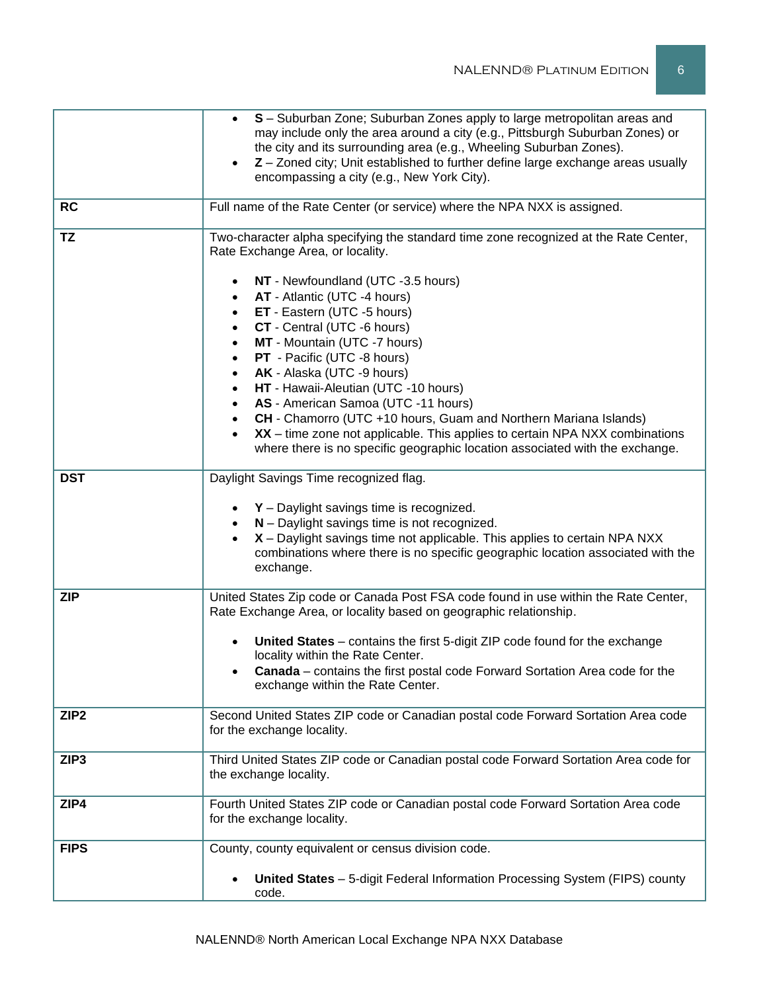|                  | S - Suburban Zone; Suburban Zones apply to large metropolitan areas and<br>may include only the area around a city (e.g., Pittsburgh Suburban Zones) or<br>the city and its surrounding area (e.g., Wheeling Suburban Zones).<br>Z - Zoned city; Unit established to further define large exchange areas usually<br>encompassing a city (e.g., New York City).                                                                                                                                                                                                                                                                                                                                                                  |
|------------------|---------------------------------------------------------------------------------------------------------------------------------------------------------------------------------------------------------------------------------------------------------------------------------------------------------------------------------------------------------------------------------------------------------------------------------------------------------------------------------------------------------------------------------------------------------------------------------------------------------------------------------------------------------------------------------------------------------------------------------|
| <b>RC</b>        | Full name of the Rate Center (or service) where the NPA NXX is assigned.                                                                                                                                                                                                                                                                                                                                                                                                                                                                                                                                                                                                                                                        |
| <b>TZ</b>        | Two-character alpha specifying the standard time zone recognized at the Rate Center,<br>Rate Exchange Area, or locality.<br>NT - Newfoundland (UTC -3.5 hours)<br>AT - Atlantic (UTC -4 hours)<br>ET - Eastern (UTC -5 hours)<br>$\bullet$<br>CT - Central (UTC -6 hours)<br>$\bullet$<br>MT - Mountain (UTC -7 hours)<br>$\bullet$<br>PT - Pacific (UTC -8 hours)<br>$\bullet$<br>AK - Alaska (UTC -9 hours)<br>HT - Hawaii-Aleutian (UTC -10 hours)<br>AS - American Samoa (UTC -11 hours)<br>CH - Chamorro (UTC +10 hours, Guam and Northern Mariana Islands)<br>XX - time zone not applicable. This applies to certain NPA NXX combinations<br>where there is no specific geographic location associated with the exchange. |
| <b>DST</b>       | Daylight Savings Time recognized flag.<br>$Y$ – Daylight savings time is recognized.<br>N - Daylight savings time is not recognized.<br>X - Daylight savings time not applicable. This applies to certain NPA NXX<br>combinations where there is no specific geographic location associated with the<br>exchange.                                                                                                                                                                                                                                                                                                                                                                                                               |
| <b>ZIP</b>       | United States Zip code or Canada Post FSA code found in use within the Rate Center,<br>Rate Exchange Area, or locality based on geographic relationship.<br>United States - contains the first 5-digit ZIP code found for the exchange<br>locality within the Rate Center.<br>Canada - contains the first postal code Forward Sortation Area code for the<br>exchange within the Rate Center.                                                                                                                                                                                                                                                                                                                                   |
| ZIP <sub>2</sub> | Second United States ZIP code or Canadian postal code Forward Sortation Area code<br>for the exchange locality.                                                                                                                                                                                                                                                                                                                                                                                                                                                                                                                                                                                                                 |
| ZIP <sub>3</sub> | Third United States ZIP code or Canadian postal code Forward Sortation Area code for<br>the exchange locality.                                                                                                                                                                                                                                                                                                                                                                                                                                                                                                                                                                                                                  |
| ZIP4             | Fourth United States ZIP code or Canadian postal code Forward Sortation Area code<br>for the exchange locality.                                                                                                                                                                                                                                                                                                                                                                                                                                                                                                                                                                                                                 |
| <b>FIPS</b>      | County, county equivalent or census division code.<br>United States - 5-digit Federal Information Processing System (FIPS) county<br>code.                                                                                                                                                                                                                                                                                                                                                                                                                                                                                                                                                                                      |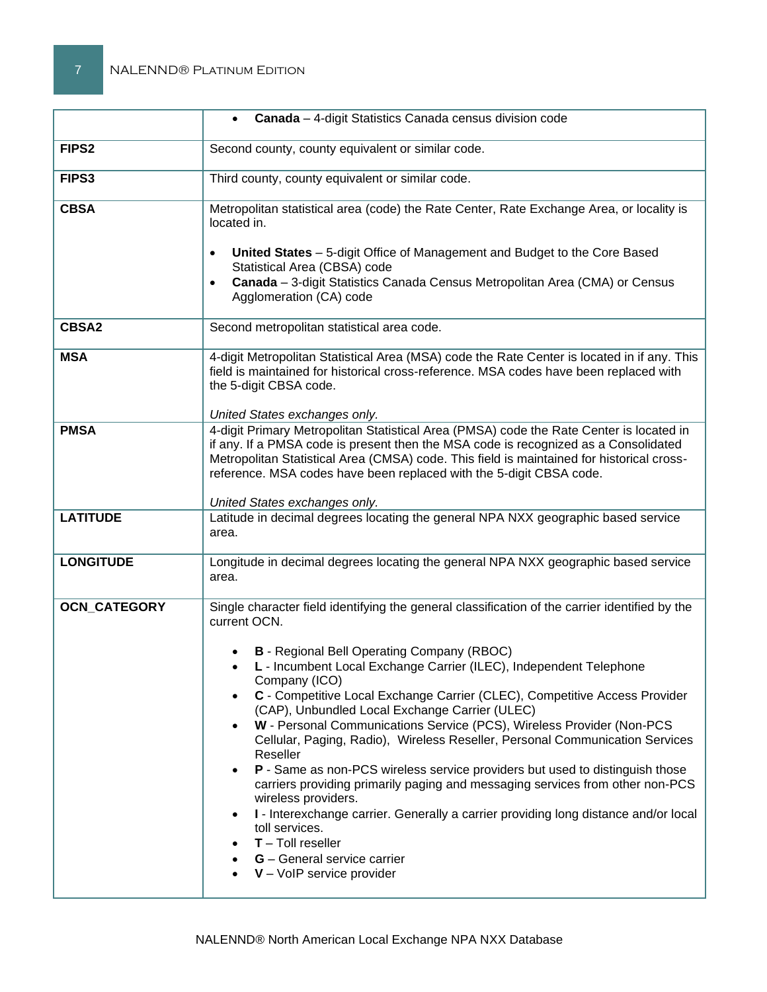|                     | Canada - 4-digit Statistics Canada census division code<br>$\bullet$                                                                                                                                                                                                                                                                                                                                                                                                                                                                                                                                                                                                                                                                                                                                                                                                                                                                                  |
|---------------------|-------------------------------------------------------------------------------------------------------------------------------------------------------------------------------------------------------------------------------------------------------------------------------------------------------------------------------------------------------------------------------------------------------------------------------------------------------------------------------------------------------------------------------------------------------------------------------------------------------------------------------------------------------------------------------------------------------------------------------------------------------------------------------------------------------------------------------------------------------------------------------------------------------------------------------------------------------|
| FIPS <sub>2</sub>   | Second county, county equivalent or similar code.                                                                                                                                                                                                                                                                                                                                                                                                                                                                                                                                                                                                                                                                                                                                                                                                                                                                                                     |
| FIPS3               | Third county, county equivalent or similar code.                                                                                                                                                                                                                                                                                                                                                                                                                                                                                                                                                                                                                                                                                                                                                                                                                                                                                                      |
| <b>CBSA</b>         | Metropolitan statistical area (code) the Rate Center, Rate Exchange Area, or locality is<br>located in.<br>United States - 5-digit Office of Management and Budget to the Core Based<br>$\bullet$<br>Statistical Area (CBSA) code<br>Canada - 3-digit Statistics Canada Census Metropolitan Area (CMA) or Census<br>$\bullet$                                                                                                                                                                                                                                                                                                                                                                                                                                                                                                                                                                                                                         |
|                     | Agglomeration (CA) code                                                                                                                                                                                                                                                                                                                                                                                                                                                                                                                                                                                                                                                                                                                                                                                                                                                                                                                               |
| <b>CBSA2</b>        | Second metropolitan statistical area code.                                                                                                                                                                                                                                                                                                                                                                                                                                                                                                                                                                                                                                                                                                                                                                                                                                                                                                            |
| <b>MSA</b>          | 4-digit Metropolitan Statistical Area (MSA) code the Rate Center is located in if any. This<br>field is maintained for historical cross-reference. MSA codes have been replaced with<br>the 5-digit CBSA code.                                                                                                                                                                                                                                                                                                                                                                                                                                                                                                                                                                                                                                                                                                                                        |
| <b>PMSA</b>         | United States exchanges only.<br>4-digit Primary Metropolitan Statistical Area (PMSA) code the Rate Center is located in<br>if any. If a PMSA code is present then the MSA code is recognized as a Consolidated<br>Metropolitan Statistical Area (CMSA) code. This field is maintained for historical cross-<br>reference. MSA codes have been replaced with the 5-digit CBSA code.<br>United States exchanges only.                                                                                                                                                                                                                                                                                                                                                                                                                                                                                                                                  |
| <b>LATITUDE</b>     | Latitude in decimal degrees locating the general NPA NXX geographic based service<br>area.                                                                                                                                                                                                                                                                                                                                                                                                                                                                                                                                                                                                                                                                                                                                                                                                                                                            |
| <b>LONGITUDE</b>    | Longitude in decimal degrees locating the general NPA NXX geographic based service<br>area.                                                                                                                                                                                                                                                                                                                                                                                                                                                                                                                                                                                                                                                                                                                                                                                                                                                           |
| <b>OCN_CATEGORY</b> | Single character field identifying the general classification of the carrier identified by the<br>current OCN.<br><b>B</b> - Regional Bell Operating Company (RBOC)<br>L - Incumbent Local Exchange Carrier (ILEC), Independent Telephone<br>Company (ICO)<br>C - Competitive Local Exchange Carrier (CLEC), Competitive Access Provider<br>(CAP), Unbundled Local Exchange Carrier (ULEC)<br>W - Personal Communications Service (PCS), Wireless Provider (Non-PCS<br>Cellular, Paging, Radio), Wireless Reseller, Personal Communication Services<br>Reseller<br>P - Same as non-PCS wireless service providers but used to distinguish those<br>carriers providing primarily paging and messaging services from other non-PCS<br>wireless providers.<br>I - Interexchange carrier. Generally a carrier providing long distance and/or local<br>toll services.<br>$T -$ Toll reseller<br>G - General service carrier<br>$V - VolP$ service provider |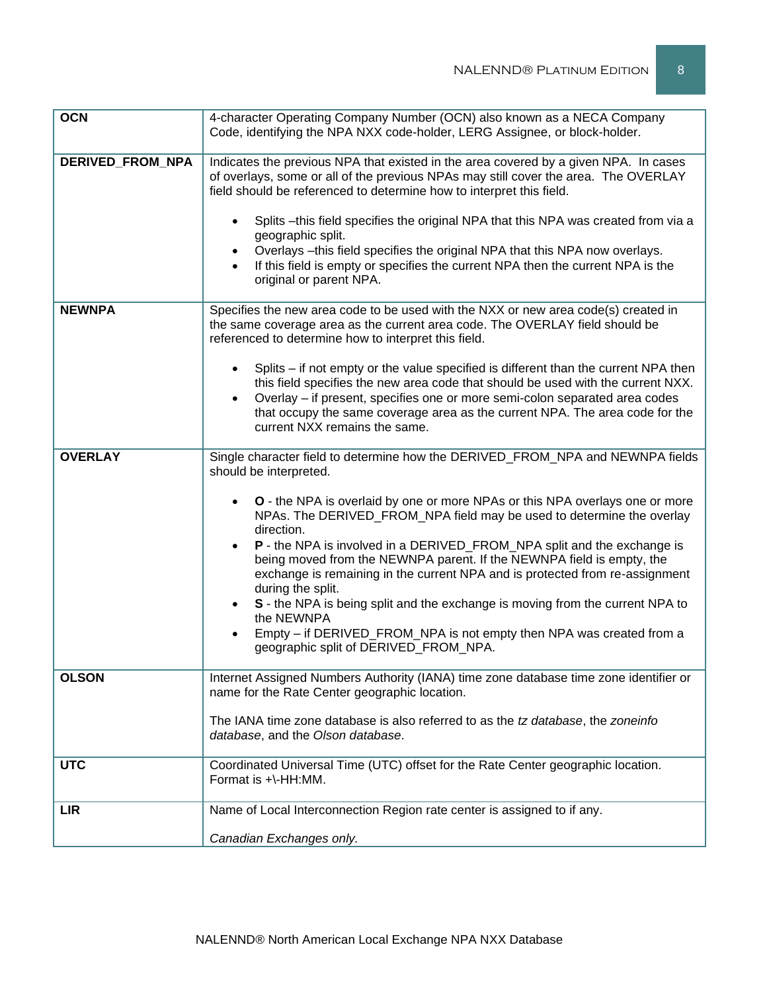| <b>OCN</b>       | 4-character Operating Company Number (OCN) also known as a NECA Company                                                                                                                                                                                             |
|------------------|---------------------------------------------------------------------------------------------------------------------------------------------------------------------------------------------------------------------------------------------------------------------|
|                  | Code, identifying the NPA NXX code-holder, LERG Assignee, or block-holder.                                                                                                                                                                                          |
| DERIVED_FROM_NPA | Indicates the previous NPA that existed in the area covered by a given NPA. In cases<br>of overlays, some or all of the previous NPAs may still cover the area. The OVERLAY<br>field should be referenced to determine how to interpret this field.                 |
|                  | Splits - this field specifies the original NPA that this NPA was created from via a<br>$\bullet$<br>geographic split.                                                                                                                                               |
|                  | Overlays - this field specifies the original NPA that this NPA now overlays.<br>If this field is empty or specifies the current NPA then the current NPA is the<br>original or parent NPA.                                                                          |
| <b>NEWNPA</b>    | Specifies the new area code to be used with the NXX or new area code(s) created in<br>the same coverage area as the current area code. The OVERLAY field should be<br>referenced to determine how to interpret this field.                                          |
|                  | Splits – if not empty or the value specified is different than the current NPA then<br>this field specifies the new area code that should be used with the current NXX.<br>Overlay - if present, specifies one or more semi-colon separated area codes<br>$\bullet$ |
|                  | that occupy the same coverage area as the current NPA. The area code for the<br>current NXX remains the same.                                                                                                                                                       |
| <b>OVERLAY</b>   | Single character field to determine how the DERIVED_FROM_NPA and NEWNPA fields<br>should be interpreted.                                                                                                                                                            |
|                  | O - the NPA is overlaid by one or more NPAs or this NPA overlays one or more<br>NPAs. The DERIVED_FROM_NPA field may be used to determine the overlay<br>direction.                                                                                                 |
|                  | P - the NPA is involved in a DERIVED_FROM_NPA split and the exchange is<br>being moved from the NEWNPA parent. If the NEWNPA field is empty, the<br>exchange is remaining in the current NPA and is protected from re-assignment<br>during the split.               |
|                  | S - the NPA is being split and the exchange is moving from the current NPA to<br>$\bullet$<br>the NEWNPA                                                                                                                                                            |
|                  | Empty - if DERIVED_FROM_NPA is not empty then NPA was created from a<br>$\bullet$<br>geographic split of DERIVED FROM NPA.                                                                                                                                          |
| <b>OLSON</b>     | Internet Assigned Numbers Authority (IANA) time zone database time zone identifier or<br>name for the Rate Center geographic location.                                                                                                                              |
|                  | The IANA time zone database is also referred to as the tz database, the zoneinfo<br>database, and the Olson database.                                                                                                                                               |
| <b>UTC</b>       | Coordinated Universal Time (UTC) offset for the Rate Center geographic location.<br>Format is +\-HH:MM.                                                                                                                                                             |
| <b>LIR</b>       | Name of Local Interconnection Region rate center is assigned to if any.                                                                                                                                                                                             |
|                  | Canadian Exchanges only.                                                                                                                                                                                                                                            |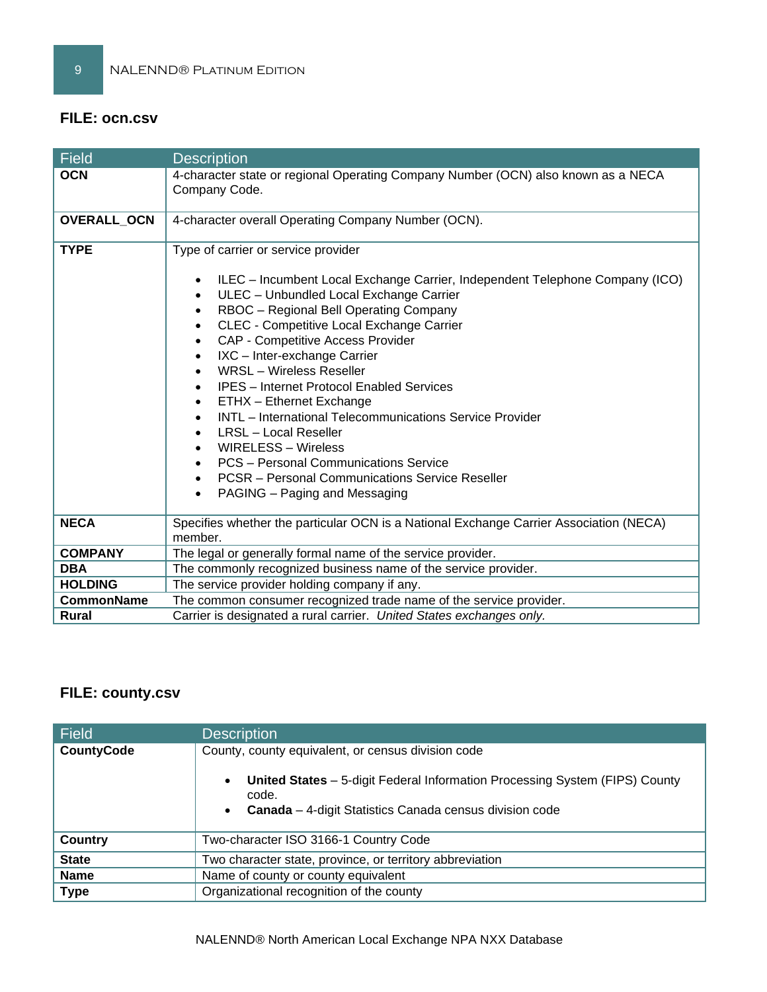## **FILE: ocn.csv**

| Field             | <b>Description</b>                                                                                                                                                                                                                                                                                                                                                                                                                                                                                                                                                                                                                                                                                                                                                           |
|-------------------|------------------------------------------------------------------------------------------------------------------------------------------------------------------------------------------------------------------------------------------------------------------------------------------------------------------------------------------------------------------------------------------------------------------------------------------------------------------------------------------------------------------------------------------------------------------------------------------------------------------------------------------------------------------------------------------------------------------------------------------------------------------------------|
| <b>OCN</b>        | 4-character state or regional Operating Company Number (OCN) also known as a NECA<br>Company Code.                                                                                                                                                                                                                                                                                                                                                                                                                                                                                                                                                                                                                                                                           |
| OVERALL_OCN       | 4-character overall Operating Company Number (OCN).                                                                                                                                                                                                                                                                                                                                                                                                                                                                                                                                                                                                                                                                                                                          |
| <b>TYPE</b>       | Type of carrier or service provider<br>ILEC - Incumbent Local Exchange Carrier, Independent Telephone Company (ICO)<br>$\bullet$<br>ULEC - Unbundled Local Exchange Carrier<br>RBOC - Regional Bell Operating Company<br>CLEC - Competitive Local Exchange Carrier<br>$\bullet$<br>CAP - Competitive Access Provider<br>$\bullet$<br>IXC - Inter-exchange Carrier<br>$\bullet$<br><b>WRSL</b> - Wireless Reseller<br><b>IPES</b> - Internet Protocol Enabled Services<br>ETHX - Ethernet Exchange<br>$\bullet$<br>INTL - International Telecommunications Service Provider<br><b>LRSL</b> - Local Reseller<br><b>WIRELESS - Wireless</b><br>PCS - Personal Communications Service<br><b>PCSR</b> – Personal Communications Service Reseller<br>PAGING - Paging and Messaging |
| <b>NECA</b>       | Specifies whether the particular OCN is a National Exchange Carrier Association (NECA)<br>member.                                                                                                                                                                                                                                                                                                                                                                                                                                                                                                                                                                                                                                                                            |
| <b>COMPANY</b>    | The legal or generally formal name of the service provider.                                                                                                                                                                                                                                                                                                                                                                                                                                                                                                                                                                                                                                                                                                                  |
| <b>DBA</b>        | The commonly recognized business name of the service provider.                                                                                                                                                                                                                                                                                                                                                                                                                                                                                                                                                                                                                                                                                                               |
| <b>HOLDING</b>    | The service provider holding company if any.                                                                                                                                                                                                                                                                                                                                                                                                                                                                                                                                                                                                                                                                                                                                 |
| <b>CommonName</b> | The common consumer recognized trade name of the service provider.                                                                                                                                                                                                                                                                                                                                                                                                                                                                                                                                                                                                                                                                                                           |
| Rural             | Carrier is designated a rural carrier. United States exchanges only.                                                                                                                                                                                                                                                                                                                                                                                                                                                                                                                                                                                                                                                                                                         |

# **FILE: county.csv**

| <b>Field</b>      | <b>Description</b>                                                                                                                                                               |
|-------------------|----------------------------------------------------------------------------------------------------------------------------------------------------------------------------------|
| <b>CountyCode</b> | County, county equivalent, or census division code                                                                                                                               |
|                   | United States - 5-digit Federal Information Processing System (FIPS) County<br>$\bullet$<br>code.<br><b>Canada</b> – 4-digit Statistics Canada census division code<br>$\bullet$ |
| Country           | Two-character ISO 3166-1 Country Code                                                                                                                                            |
| <b>State</b>      | Two character state, province, or territory abbreviation                                                                                                                         |
| <b>Name</b>       | Name of county or county equivalent                                                                                                                                              |
| <b>Type</b>       | Organizational recognition of the county                                                                                                                                         |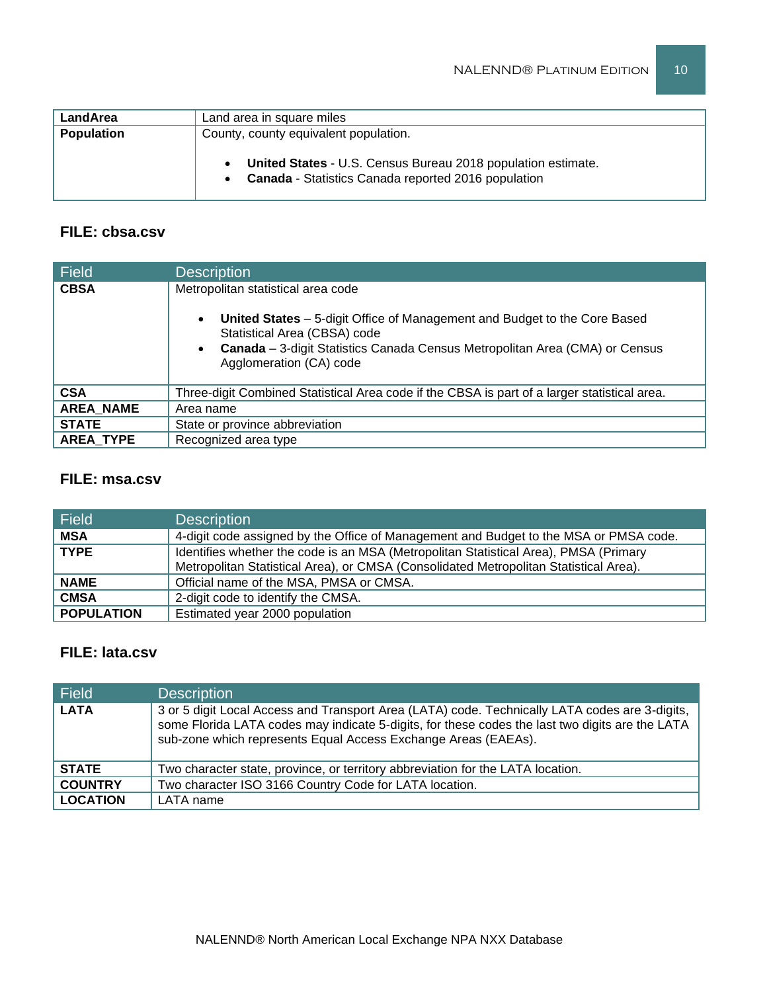| LandArea          | Land area in square miles                                                                                                         |
|-------------------|-----------------------------------------------------------------------------------------------------------------------------------|
| <b>Population</b> | County, county equivalent population.                                                                                             |
|                   | <b>United States - U.S. Census Bureau 2018 population estimate.</b><br><b>Canada</b> - Statistics Canada reported 2016 population |

## **FILE: cbsa.csv**

| <b>Field</b>     | <b>Description</b>                                                                                                                                                                                                                                                     |
|------------------|------------------------------------------------------------------------------------------------------------------------------------------------------------------------------------------------------------------------------------------------------------------------|
| <b>CBSA</b>      | Metropolitan statistical area code<br>United States - 5-digit Office of Management and Budget to the Core Based<br>$\bullet$<br>Statistical Area (CBSA) code<br>Canada - 3-digit Statistics Canada Census Metropolitan Area (CMA) or Census<br>Agglomeration (CA) code |
| <b>CSA</b>       | Three-digit Combined Statistical Area code if the CBSA is part of a larger statistical area.                                                                                                                                                                           |
| <b>AREA NAME</b> | Area name                                                                                                                                                                                                                                                              |
| <b>STATE</b>     | State or province abbreviation                                                                                                                                                                                                                                         |
| <b>AREA TYPE</b> | Recognized area type                                                                                                                                                                                                                                                   |

## **FILE: msa.csv**

| Field             | <b>Description</b>                                                                    |
|-------------------|---------------------------------------------------------------------------------------|
| <b>MSA</b>        | 4-digit code assigned by the Office of Management and Budget to the MSA or PMSA code. |
| <b>TYPE</b>       | Identifies whether the code is an MSA (Metropolitan Statistical Area), PMSA (Primary  |
|                   | Metropolitan Statistical Area), or CMSA (Consolidated Metropolitan Statistical Area). |
| <b>NAME</b>       | Official name of the MSA, PMSA or CMSA.                                               |
| <b>CMSA</b>       | 2-digit code to identify the CMSA.                                                    |
| <b>POPULATION</b> | Estimated year 2000 population                                                        |

## **FILE: lata.csv**

| <b>Field</b>    | <b>Description</b>                                                                                                                                                                                                                                                  |
|-----------------|---------------------------------------------------------------------------------------------------------------------------------------------------------------------------------------------------------------------------------------------------------------------|
| <b>LATA</b>     | 3 or 5 digit Local Access and Transport Area (LATA) code. Technically LATA codes are 3-digits,<br>some Florida LATA codes may indicate 5-digits, for these codes the last two digits are the LATA<br>sub-zone which represents Equal Access Exchange Areas (EAEAs). |
| <b>STATE</b>    | Two character state, province, or territory abbreviation for the LATA location.                                                                                                                                                                                     |
| <b>COUNTRY</b>  | Two character ISO 3166 Country Code for LATA location.                                                                                                                                                                                                              |
| <b>LOCATION</b> | LATA name                                                                                                                                                                                                                                                           |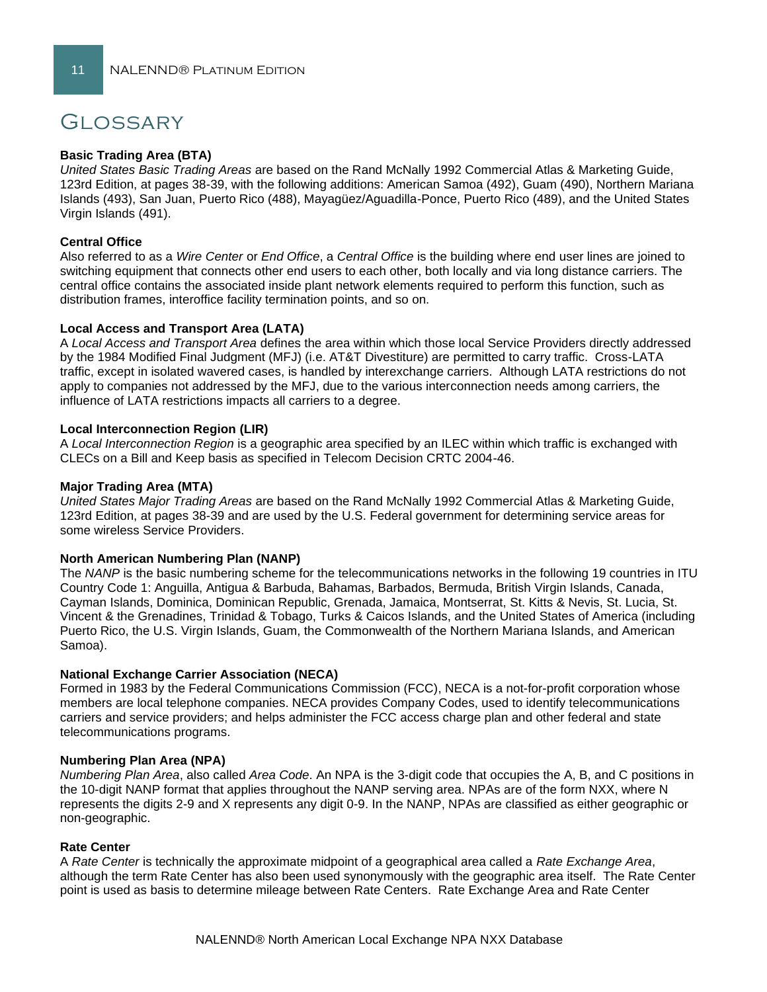## Glossary

#### **Basic Trading Area (BTA)**

*United States Basic Trading Areas* are based on the Rand McNally 1992 Commercial Atlas & Marketing Guide, 123rd Edition, at pages 38-39, with the following additions: American Samoa (492), Guam (490), Northern Mariana Islands (493), San Juan, Puerto Rico (488), Mayagüez/Aguadilla-Ponce, Puerto Rico (489), and the United States Virgin Islands (491).

#### **Central Office**

Also referred to as a *Wire Center* or *End Office*, a *Central Office* is the building where end user lines are joined to switching equipment that connects other end users to each other, both locally and via long distance carriers. The central office contains the associated inside plant network elements required to perform this function, such as distribution frames, interoffice facility termination points, and so on.

#### **Local Access and Transport Area (LATA)**

A *Local Access and Transport Area* defines the area within which those local Service Providers directly addressed by the 1984 Modified Final Judgment (MFJ) (i.e. AT&T Divestiture) are permitted to carry traffic. Cross-LATA traffic, except in isolated wavered cases, is handled by interexchange carriers. Although LATA restrictions do not apply to companies not addressed by the MFJ, due to the various interconnection needs among carriers, the influence of LATA restrictions impacts all carriers to a degree.

#### **Local Interconnection Region (LIR)**

A *Local Interconnection Region* is a geographic area specified by an ILEC within which traffic is exchanged with CLECs on a Bill and Keep basis as specified in Telecom Decision CRTC 2004-46.

#### **Major Trading Area (MTA)**

*United States Major Trading Areas* are based on the Rand McNally 1992 Commercial Atlas & Marketing Guide, 123rd Edition, at pages 38-39 and are used by the U.S. Federal government for determining service areas for some wireless Service Providers.

#### **North American Numbering Plan (NANP)**

The *NANP* is the basic numbering scheme for the telecommunications networks in the following 19 countries in ITU Country Code 1: Anguilla, Antigua & Barbuda, Bahamas, Barbados, Bermuda, British Virgin Islands, Canada, Cayman Islands, Dominica, Dominican Republic, Grenada, Jamaica, Montserrat, St. Kitts & Nevis, St. Lucia, St. Vincent & the Grenadines, Trinidad & Tobago, Turks & Caicos Islands, and the United States of America (including Puerto Rico, the U.S. Virgin Islands, Guam, the Commonwealth of the Northern Mariana Islands, and American Samoa).

#### **National Exchange Carrier Association (NECA)**

Formed in 1983 by the Federal Communications Commission (FCC), NECA is a not-for-profit corporation whose members are local telephone companies. NECA provides Company Codes, used to identify telecommunications carriers and service providers; and helps administer the FCC access charge plan and other federal and state telecommunications programs.

#### **Numbering Plan Area (NPA)**

*Numbering Plan Area*, also called *Area Code*. An NPA is the 3-digit code that occupies the A, B, and C positions in the 10-digit NANP format that applies throughout the NANP serving area. NPAs are of the form NXX, where N represents the digits 2-9 and X represents any digit 0-9. In the NANP, NPAs are classified as either geographic or non-geographic.

#### **Rate Center**

A *Rate Center* is technically the approximate midpoint of a geographical area called a *Rate Exchange Area*, although the term Rate Center has also been used synonymously with the geographic area itself. The Rate Center point is used as basis to determine mileage between Rate Centers. Rate Exchange Area and Rate Center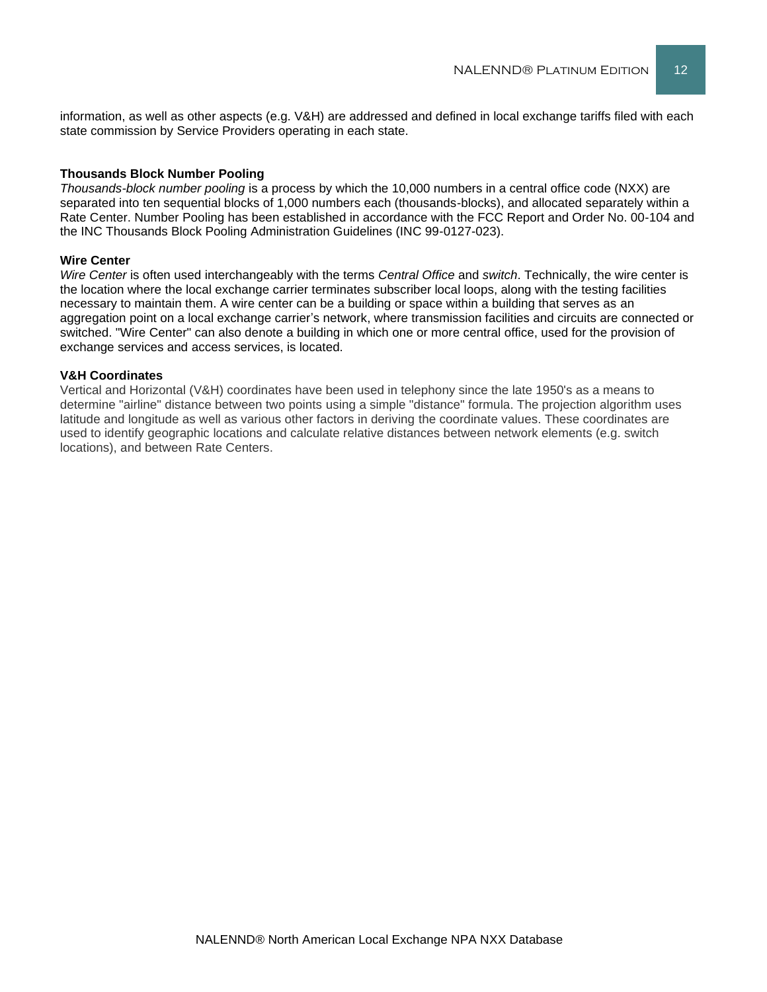information, as well as other aspects (e.g. V&H) are addressed and defined in local exchange tariffs filed with each state commission by Service Providers operating in each state.

#### **Thousands Block Number Pooling**

*Thousands-block number pooling* is a process by which the 10,000 numbers in a central office code (NXX) are separated into ten sequential blocks of 1,000 numbers each (thousands-blocks), and allocated separately within a Rate Center. Number Pooling has been established in accordance with the FCC Report and Order No. 00-104 and the INC Thousands Block Pooling Administration Guidelines (INC 99-0127-023).

#### **Wire Center**

*Wire Center* is often used interchangeably with the terms *Central Office* and *switch*. Technically, the wire center is the location where the local exchange carrier terminates subscriber local loops, along with the testing facilities necessary to maintain them. A wire center can be a building or space within a building that serves as an aggregation point on a local exchange carrier's network, where transmission facilities and circuits are connected or switched. "Wire Center" can also denote a building in which one or more central office, used for the provision of exchange services and access services, is located.

#### **V&H Coordinates**

Vertical and Horizontal (V&H) coordinates have been used in telephony since the late 1950's as a means to determine "airline" distance between two points using a simple "distance" formula. The projection algorithm uses latitude and longitude as well as various other factors in deriving the coordinate values. These coordinates are used to identify geographic locations and calculate relative distances between network elements (e.g. switch locations), and between Rate Centers.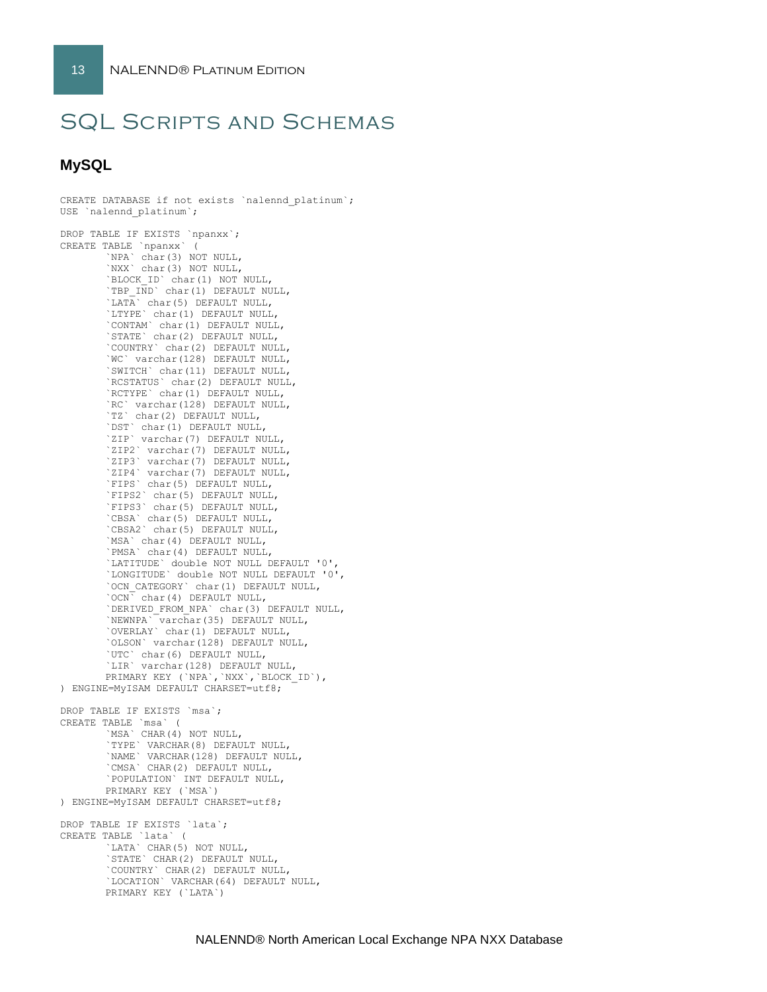CREATE DATABASE if not exists `nalennd\_platinum`;

# SQL Scripts and Schemas

### **MySQL**

```
USE `nalennd platinum`;
DROP TABLE IF EXISTS `npanxx`;
CREATE TABLE `npanxx` (
        `NPA` char(3) NOT NULL,
       `NXX` char(3) NOT NULL,
       `BLOCK_ID` char(1) NOT NULL,
        `TBP IND` char(1) DEFAULT NULL,
       \tilde{\Gamma} char(5) DEFAULT NULL,
       `LTYPE` char(1) DEFAULT NULL,
        `CONTAM` char(1) DEFAULT NULL,
        `STATE` char(2) DEFAULT NULL,
       `COUNTRY` char(2) DEFAULT NULL,
       `WC` varchar(128) DEFAULT NULL,
        `SWITCH` char(11) DEFAULT NULL,
        `RCSTATUS` char(2) DEFAULT NULL,
       `RCTYPE` char(1) DEFAULT NULL,
        `RC` varchar(128) DEFAULT NULL,
        `TZ` char(2) DEFAULT NULL,
       `DST` char(1) DEFAULT NULL,
        `ZIP` varchar(7) DEFAULT NULL,
        `ZIP2` varchar(7) DEFAULT NULL,
       `ZIP3` varchar(7) DEFAULT NULL,
       `ZIP4` varchar(7) DEFAULT NULL,
        `FIPS` char(5) DEFAULT NULL,
        `FIPS2` char(5) DEFAULT NULL,
       `FIPS3` char(5) DEFAULT NULL,
       `CBSA` char(5) DEFAULT NULL,
        `CBSA2` char(5) DEFAULT NULL,
       `MSA` char(4) DEFAULT NULL,
       `PMSA` char(4) DEFAULT NULL,
        `LATITUDE` double NOT NULL DEFAULT '0',
        `LONGITUDE` double NOT NULL DEFAULT '0',
       `OCN_CATEGORY` char(1) DEFAULT NULL,
       `OCN` char(4) DEFAULT NULL,
        `DERIVED_FROM_NPA` char(3) DEFAULT NULL,
        `NEWNPA` varchar(35) DEFAULT NULL,
       `OVERLAY` char(1) DEFAULT NULL,
        `OLSON` varchar(128) DEFAULT NULL,
        `UTC` char(6) DEFAULT NULL,
       `LIR` varchar(128) DEFAULT NULL,
       PRIMARY KEY (`NPA`,`NXX`,`BLOCK_ID`),
) ENGINE=MyISAM DEFAULT CHARSET=utf8;
DROP TABLE IF EXISTS `msa`;
CREATE TABLE `msa` (
        `MSA` CHAR(4) NOT NULL,
       `TYPE` VARCHAR(8) DEFAULT NULL,
       `NAME` VARCHAR(128) DEFAULT NULL,
        `CMSA` CHAR(2) DEFAULT NULL,
       `POPULATION` INT DEFAULT NULL,
       PRIMARY KEY (`MSA`)
) ENGINE=MyISAM DEFAULT CHARSET=utf8;
DROP TABLE IF EXISTS `lata`;
CREATE TABLE `lata` (
        `LATA` CHAR(5) NOT NULL,
       `STATE` CHAR(2) DEFAULT NULL,
       `COUNTRY` CHAR(2) DEFAULT NULL,
       `LOCATION` VARCHAR(64) DEFAULT NULL,
       PRIMARY KEY (`LATA`)
```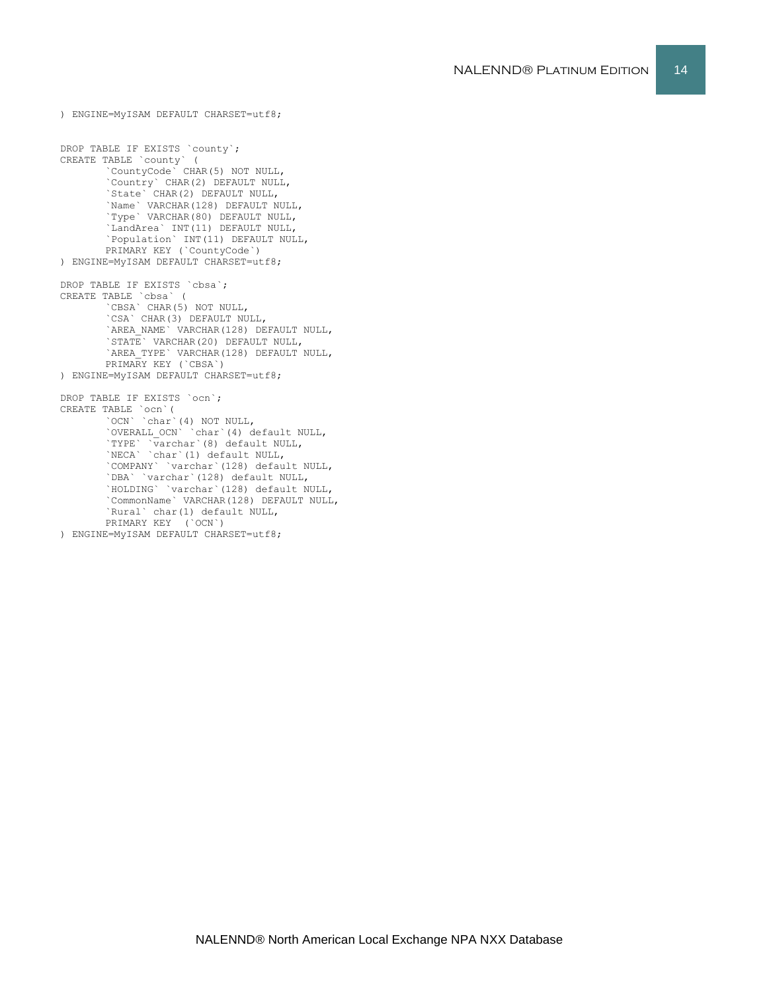```
`LandArea` INT(11) DEFAULT NULL,
       `Population` INT(11) DEFAULT NULL,
       PRIMARY KEY (`CountyCode`)
) ENGINE=MyISAM DEFAULT CHARSET=utf8;
DROP TABLE IF EXISTS `cbsa`;
CREATE TABLE `cbsa` (
       ...<br>CBSA` CHAR(5) NOT NULL,
       `CSA` CHAR(3) DEFAULT NULL,
        `AREA_NAME` VARCHAR(128) DEFAULT NULL,
       `STATE` VARCHAR(20) DEFAULT NULL,
       `AREA_TYPE` VARCHAR(128) DEFAULT NULL,
       PRIMARY KEY (`CBSA`)
) ENGINE=MyISAM DEFAULT CHARSET=utf8;
DROP TABLE IF EXISTS `ocn`;
CREATE TABLE `ocn`(
        `OCN` `char`(4) NOT NULL,
        `OVERALL_OCN` `char`(4) default NULL,
        `TYPE` `varchar`(8) default NULL,
        `NECA` `char`(1) default NULL,
       `COMPANY` `varchar`(128) default NULL,
       `DBA` `varchar`(128) default NULL,
        `HOLDING` `varchar`(128) default NULL,
       `CommonName` VARCHAR(128) DEFAULT NULL,
       `Rural` char(1) default NULL,
       PRIMARY KEY (`OCN`)
) ENGINE=MyISAM DEFAULT CHARSET=utf8;
```
) ENGINE=MyISAM DEFAULT CHARSET=utf8;

`CountyCode` CHAR(5) NOT NULL, `Country` CHAR(2) DEFAULT NULL, `State` CHAR(2) DEFAULT NULL, `Name` VARCHAR(128) DEFAULT NULL, `Type` VARCHAR(80) DEFAULT NULL,

DROP TABLE IF EXISTS `county`; CREATE TABLE `county` (

```
NALENND® PLATINUM EDITION 14
```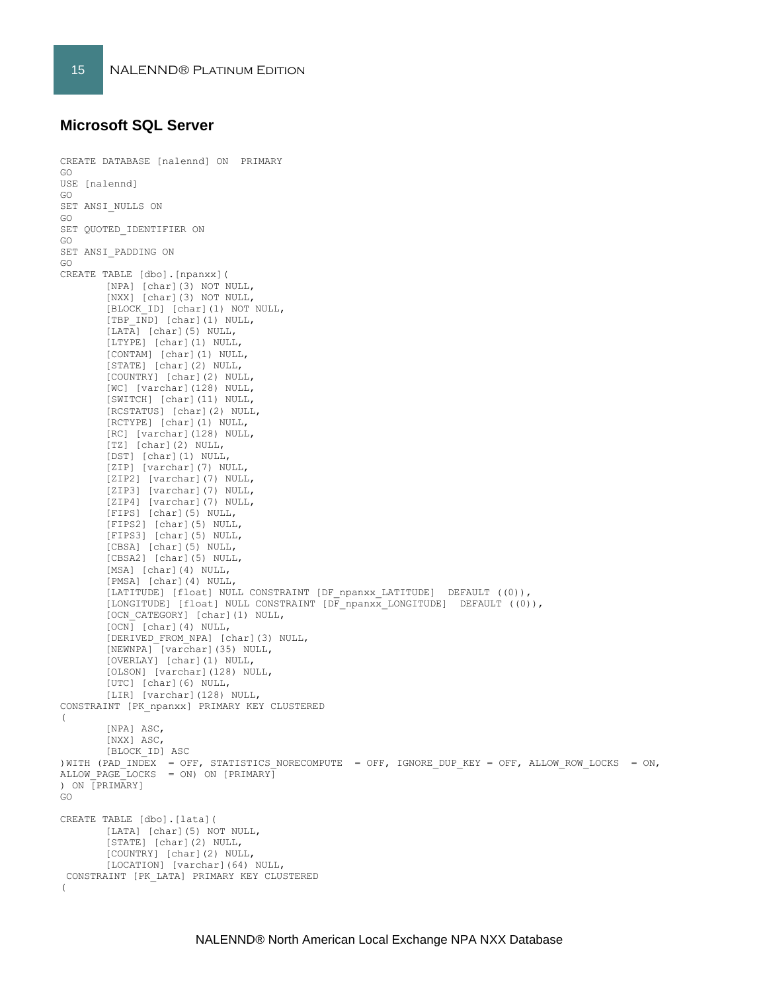## **Microsoft SQL Server**

```
CREATE DATABASE [nalennd] ON PRIMARY 
GO
USE [nalennd]
GO
SET ANSI_NULLS ON
GO
SET QUOTED IDENTIFIER ON
GO
SET ANSI_PADDING ON
GO
CREATE TABLE [dbo].[npanxx](
       [NPA] [char](3) NOT NULL,
        [NXX] [char](3) NOT NULL,
       [BLOCK_ID] [char](1) NOT NULL,
       [TBP_IND] [char](1) NULL,
        [LATA] [char](5) NULL,
        [LTYPE] [char](1) NULL,
       [CONTAM] [char](1) NULL,
       [STATE] [char](2) NULL,
        [COUNTRY] [char](2) NULL,
       [WC] [varchar](128) NULL,
       [SWITCH] [char](11) NULL,
        [RCSTATUS] [char](2) NULL,
        [RCTYPE] [char](1) NULL,
       [RC] [varchar](128) NULL,
       [TZ] [char](2) NULL,
        [DST] [char](1) NULL,
       [ZIP] [varchar](7) NULL,
       [ZIP2] [varchar](7) NULL,
        [ZIP3] [varchar](7) NULL,
        [ZIP4] [varchar](7) NULL,
       [FIPS] [char](5) NULL,
       [FIPS2] [char](5) NULL,
       [FIPS3] [char](5) NULL,
       [CBSA] [char](5) NULL,
       [CBSA2] [char](5) NULL,
        [MSA] [char](4) NULL,
        [PMSA] [char](4) NULL,
        [LATITUDE] [float] NULL CONSTRAINT [DF_npanxx_LATITUDE] DEFAULT ((0)),
        [LONGITUDE] [float] NULL CONSTRAINT [DF npanxx LONGITUDE] DEFAULT ((0)),
        [OCN_CATEGORY] [char](1) NULL,
       [OCN] [char](4) NULL,
       [DERIVED_FROM_NPA] [char](3) NULL,
        [NEWNPA] [varchar](35) NULL,
        [OVERLAY] [char](1) NULL,
       [OLSON] [varchar](128) NULL,
       [UTC] [char](6) NULL,
       [LIR] [varchar](128) NULL,
CONSTRAINT [PK_npanxx] PRIMARY KEY CLUSTERED 
(
       [NPA] ASC,
        [NXX] ASC,
       [BLOCK_ID] ASC
) WITH (PAD INDEX = OFF, STATISTICS NORECOMPUTE = OFF, IGNORE DUP KEY = OFF, ALLOW ROW LOCKS = ON,
ALLOW PAGE LOCKS = ON) ON [PRIMARY]) ON [PRIMARY]
GO
CREATE TABLE [dbo].[lata](
       [LATA] [char](5) NOT NULL,
       [STATE] [char](2) NULL,
        [COUNTRY] [char](2) NULL,
        [LOCATION] [varchar](64) NULL,
 CONSTRAINT [PK_LATA] PRIMARY KEY CLUSTERED 
(
```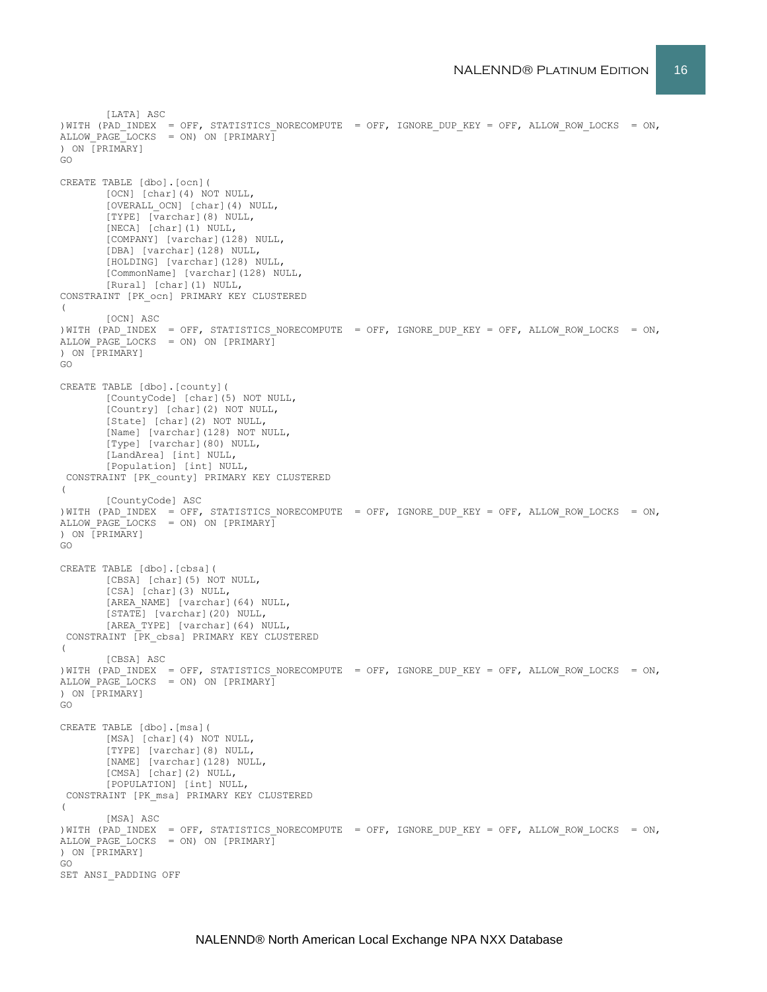```
[LATA] ASC
)WITH (PAD INDEX = OFF, STATISTICS NORECOMPUTE = OFF, IGNORE DUP KEY = OFF, ALLOW ROW LOCKS = ON,
ALLOW PAGE LOCKS = ON) ON [PRIMARY]
) ON [PRIMARY]
GO
CREATE TABLE [dbo].[ocn](
       [OCN] [char](4) NOT NULL,
       [OVERALL_OCN] [char](4) NULL,
       [TYPE] [varchar](8) NULL,
       [NECA] [char](1) NULL,
       [COMPANY] [varchar](128) NULL,
       [DBA] [varchar](128) NULL,
       [HOLDING] [varchar](128) NULL,
       [CommonName] [varchar](128) NULL,
       [Rural] [char](1) NULL,
CONSTRAINT [PK_ocn] PRIMARY KEY CLUSTERED 
\left([OCN] ASC
)WITH (PAD INDEX = OFF, STATISTICS NORECOMPUTE = OFF, IGNORE DUP KEY = OFF, ALLOW ROW LOCKS = ON,
ALLOW PAGE LOCKS = ON) ON [PRIMARY]
) ON [PRIMARY]
GO
CREATE TABLE [dbo].[county](
       [CountyCode] [char](5) NOT NULL,
       [Country] [char](2) NOT NULL,
       [State] [char](2) NOT NULL,
       [Name] [varchar](128) NOT NULL,
       [Type] [varchar](80) NULL,
       [LandArea] [int] NULL,
       [Population] [int] NULL,
 CONSTRAINT [PK_county] PRIMARY KEY CLUSTERED 
(
       [CountyCode] ASC
)WITH (PAD INDEX = OFF, STATISTICS NORECOMPUTE = OFF, IGNORE DUP KEY = OFF, ALLOW ROW LOCKS = ON,
ALLOW PAGE LOCKS = ON) ON [PRIMARY]) ON [PRIMARY]
GO
CREATE TABLE [dbo].[cbsa](
       [CBSA] [char](5) NOT NULL,
       [CSA] [char](3) NULL,
       [AREA_NAME] [varchar](64) NULL,
       [STATE] [varchar](20) NULL,
       [AREA_TYPE] [varchar](64) NULL,
 CONSTRAINT [PK_cbsa] PRIMARY KEY CLUSTERED 
(
       [CBSA] ASC
) WITH (PAD INDEX = OFF, STATISTICS NORECOMPUTE = OFF, IGNORE DUP KEY = OFF, ALLOW ROW LOCKS = ON,
ALLOW PAGE LOCKS = ON) ON [PRIMARY]) ON [PRIMARY]
GO
CREATE TABLE [dbo].[msa](
       [MSA] [char](4) NOT NULL,
       [TYPE] [varchar](8) NULL,
       [NAME] [varchar](128) NULL,
       [CMSA] [char](2) NULL,
       [POPULATION] [int] NULL,
CONSTRAINT [PK_msa] PRIMARY KEY CLUSTERED 
(
       [MSA] ASC
) WITH (PAD INDEX = OFF, STATISTICS NORECOMPUTE = OFF, IGNORE DUP KEY = OFF, ALLOW ROW LOCKS = ON,
ALLOW PAGE LOCKS = ON) ON [PRIMARY]
) ON [PRIMARY]
GO
SET ANSI_PADDING OFF
```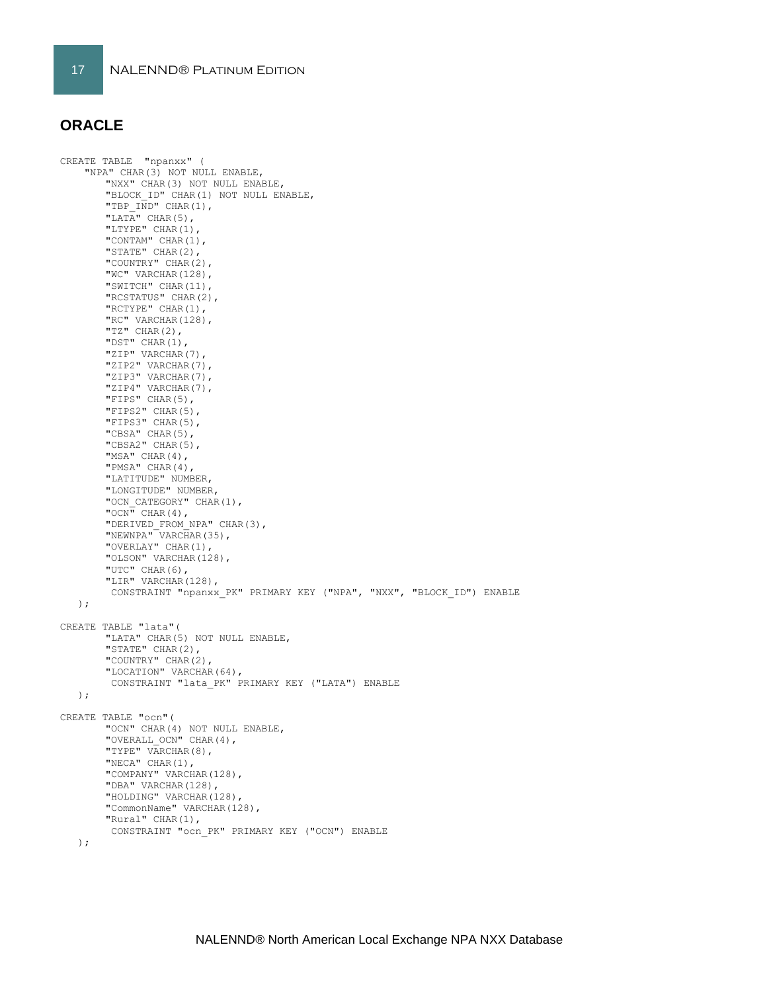## **ORACLE**

CREATE TABLE "npanxx" ( "NPA" CHAR(3) NOT NULL ENABLE, "NXX" CHAR(3) NOT NULL ENABLE, "BLOCK\_ID" CHAR(1) NOT NULL ENABLE, "TBP  $\overline{IND}$ " CHAR(1), "LATA" CHAR $(5)$ , "LTYPE" CHAR(1), "CONTAM" CHAR(1), "STATE" CHAR(2), "COUNTRY" CHAR(2), "WC" VARCHAR(128), "SWITCH" CHAR(11), "RCSTATUS" CHAR(2), "RCTYPE" CHAR(1), "RC" VARCHAR(128),  $"TZ"$  CHAR(2), "DST" CHAR(1), "ZIP" VARCHAR(7), "ZIP2" VARCHAR(7), "ZIP3" VARCHAR(7), "ZIP4" VARCHAR(7), "FIPS" CHAR(5), "FIPS2" CHAR(5), "FIPS3" CHAR(5), "CBSA" CHAR(5), "CBSA2" CHAR(5), "MSA" CHAR(4), "PMSA" CHAR(4), "LATITUDE" NUMBER, "LONGITUDE" NUMBER, "OCN CATEGORY" CHAR(1),  $"OCN"$  CHAR(4), "DERIVED\_FROM\_NPA" CHAR(3), "NEWNPA" VARCHAR(35), "OVERLAY" CHAR(1), "OLSON" VARCHAR(128), "UTC" CHAR(6), "LIR" VARCHAR(128), CONSTRAINT "npanxx\_PK" PRIMARY KEY ("NPA", "NXX", "BLOCK\_ID") ENABLE ); CREATE TABLE "lata"( "LATA" CHAR(5) NOT NULL ENABLE, "STATE" CHAR(2), "COUNTRY" CHAR(2), "LOCATION" VARCHAR(64), CONSTRAINT "lata\_PK" PRIMARY KEY ("LATA") ENABLE ); CREATE TABLE "ocn"( "OCN" CHAR(4) NOT NULL ENABLE, "OVERALL OCN" CHAR(4), "TYPE" VARCHAR(8), "NECA" CHAR(1), "COMPANY" VARCHAR(128), "DBA" VARCHAR(128), "HOLDING" VARCHAR(128), "CommonName" VARCHAR(128), "Rural" CHAR(1), CONSTRAINT "ocn\_PK" PRIMARY KEY ("OCN") ENABLE );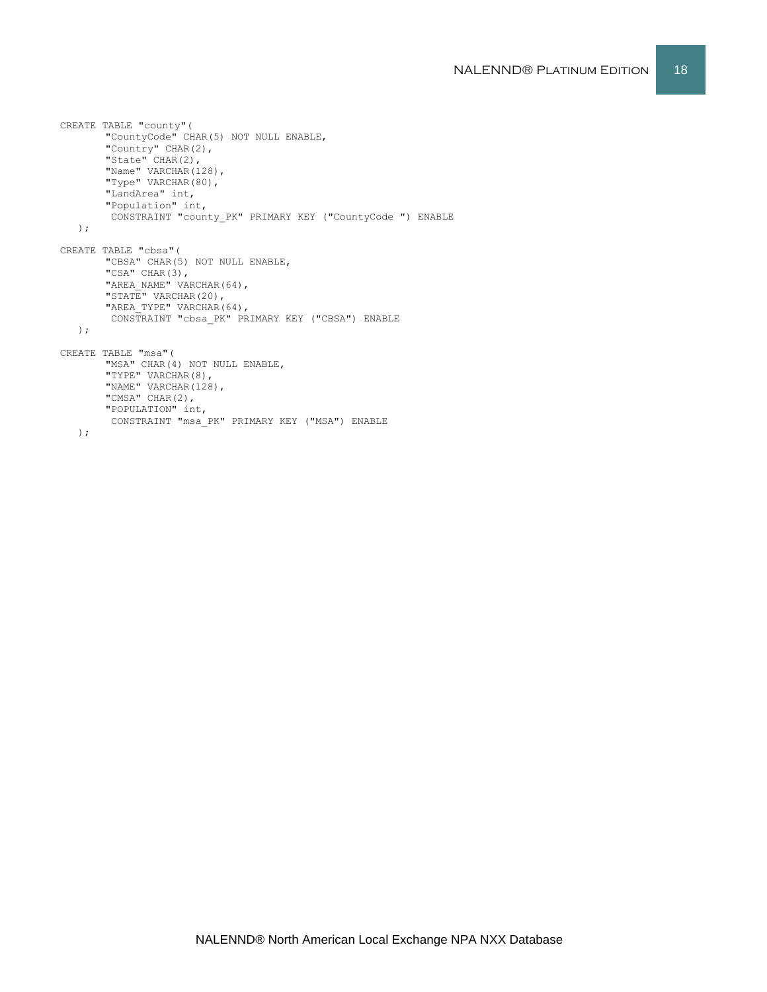```
CREATE TABLE "county"(
       "CountyCode" CHAR(5) NOT NULL ENABLE,
       "Country" CHAR(2),
       "State" CHAR(2),
       "Name" VARCHAR(128),
       "Type" VARCHAR(80),
       "LandArea" int,
        "Population" int,
         CONSTRAINT "county_PK" PRIMARY KEY ("CountyCode ") ENABLE
   );
CREATE TABLE "cbsa"(
       "CBSA" CHAR(5) NOT NULL ENABLE,
       "CSA" CHAR(3),
       "AREA_NAME" VARCHAR(64),
       "STATE" VARCHAR(20),
       "AREA TYPE" VARCHAR(64),
       CONSTRAINT "cbsa_PK" PRIMARY KEY ("CBSA") ENABLE
   );
CREATE TABLE "msa"(
       "MSA" CHAR(4) NOT NULL ENABLE,
       "TYPE" VARCHAR(8),
       "NAME" VARCHAR(128),
       "CMSA" CHAR(2),
       "POPULATION" int,
       CONSTRAINT "msa_PK" PRIMARY KEY ("MSA") ENABLE
   );
```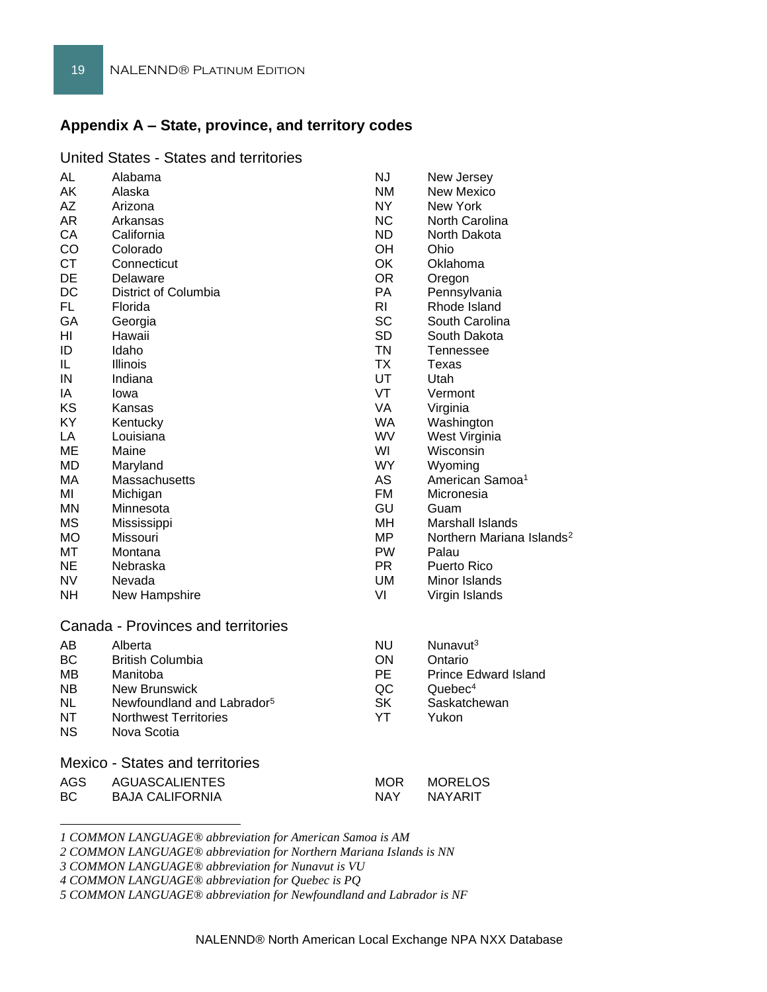## **Appendix A – State, province, and territory codes**

#### United States - States and territories

| AL                                     | Alabama                                | ΝJ             | New Jersey                            |
|----------------------------------------|----------------------------------------|----------------|---------------------------------------|
| AK                                     | Alaska                                 | <b>NM</b>      | New Mexico                            |
| AΖ                                     | Arizona                                | <b>NY</b>      | New York                              |
| AR.                                    | Arkansas                               | <b>NC</b>      | North Carolina                        |
| CA                                     | California                             | <b>ND</b>      | North Dakota                          |
| CO                                     | Colorado                               | OH             | Ohio                                  |
| <b>CT</b>                              | Connecticut                            | <b>OK</b>      | Oklahoma                              |
| DE                                     | Delaware                               | <b>OR</b>      | Oregon                                |
| <b>DC</b>                              | District of Columbia                   | PA             | Pennsylvania                          |
| <b>FL</b>                              | Florida                                | R <sub>l</sub> | Rhode Island                          |
| GA                                     | Georgia                                | <b>SC</b>      | South Carolina                        |
| HI                                     | Hawaii                                 | <b>SD</b>      | South Dakota                          |
| ID                                     | Idaho                                  | <b>TN</b>      | Tennessee                             |
| IL                                     | Illinois                               | <b>TX</b>      | Texas                                 |
| IN                                     | Indiana                                | <b>UT</b>      | Utah                                  |
| IA                                     | lowa                                   | VT             | Vermont                               |
| KS                                     | Kansas                                 | VA             | Virginia                              |
| ΚY                                     | Kentucky                               | <b>WA</b>      | Washington                            |
| LA                                     | Louisiana                              | <b>WV</b>      | West Virginia                         |
| МE                                     | Maine                                  | WI             | Wisconsin                             |
| MD                                     | Maryland                               | WY.            | Wyoming                               |
| MA                                     | Massachusetts                          | <b>AS</b>      | American Samoa <sup>1</sup>           |
| ΜI                                     | Michigan                               | <b>FM</b>      | Micronesia                            |
| ΜN                                     | Minnesota                              | GU             | Guam                                  |
| <b>MS</b>                              | Mississippi                            | MН             | <b>Marshall Islands</b>               |
| МO                                     | Missouri                               | <b>MP</b>      | Northern Mariana Islands <sup>2</sup> |
| МT                                     | Montana                                | <b>PW</b>      | Palau                                 |
| NE.                                    | Nebraska                               | <b>PR</b>      | Puerto Rico                           |
| NV                                     | Nevada                                 | UM             | Minor Islands                         |
| <b>NH</b>                              | New Hampshire                          | VI             | Virgin Islands                        |
|                                        |                                        |                |                                       |
|                                        | Canada - Provinces and territories     |                |                                       |
| AΒ                                     | Alberta                                | <b>NU</b>      | Nunavut <sup>3</sup>                  |
| <b>BC</b>                              | <b>British Columbia</b>                | ON             | Ontario                               |
| MВ                                     | Manitoba                               | <b>PE</b>      | <b>Prince Edward Island</b>           |
| NB.                                    | New Brunswick                          | QC             | Quebec <sup>4</sup>                   |
| NL                                     | Newfoundland and Labrador <sup>5</sup> | <b>SK</b>      | Saskatchewan                          |
| NΤ                                     | <b>Northwest Territories</b>           | YT             | Yukon                                 |
| ΝS                                     | Nova Scotia                            |                |                                       |
|                                        |                                        |                |                                       |
| <b>Mexico - States and territories</b> |                                        |                |                                       |
| AGS                                    | <b>AGUASCALIENTES</b>                  | <b>MOR</b>     | <b>MORELOS</b>                        |
| ВC                                     | <b>BAJA CALIFORNIA</b>                 | <b>NAY</b>     | <b>NAYARIT</b>                        |
|                                        |                                        |                |                                       |

*1 COMMON LANGUAGE® abbreviation for American Samoa is AM*

*2 COMMON LANGUAGE® abbreviation for Northern Mariana Islands is NN*

*3 COMMON LANGUAGE® abbreviation for Nunavut is VU*

*4 COMMON LANGUAGE® abbreviation for Quebec is PQ*

*5 COMMON LANGUAGE® abbreviation for Newfoundland and Labrador is NF*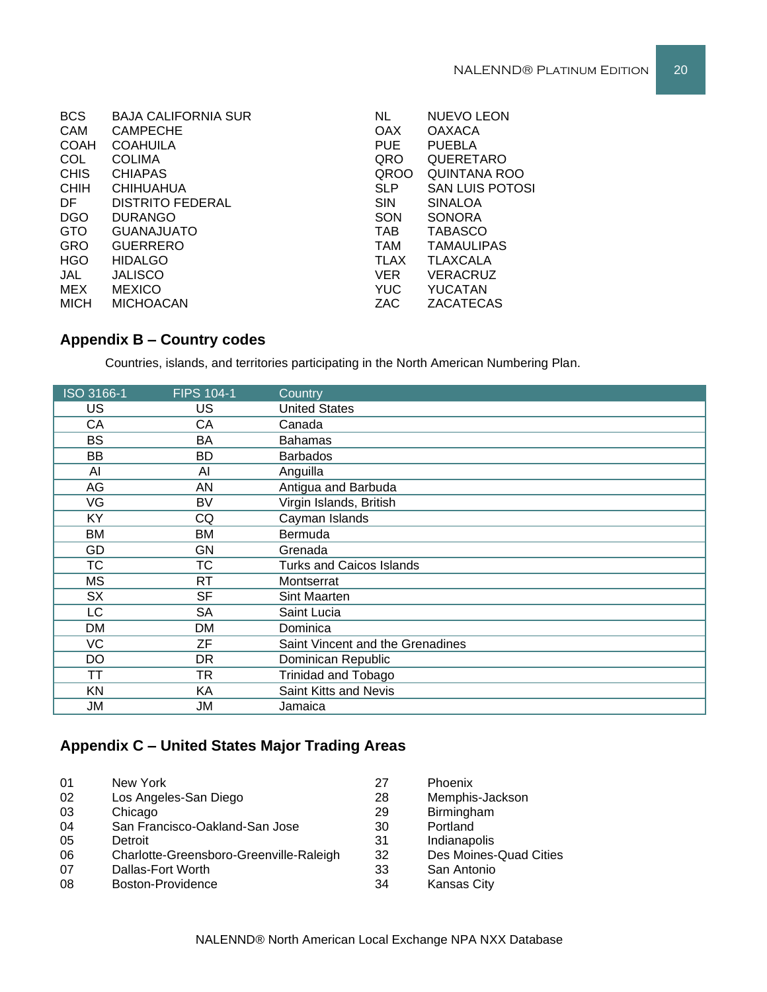| <b>BCS</b>  | <b>BAJA CALIFORNIA SUR</b> | <b>NL</b>   | <b>NUEVO LEON</b>      |
|-------------|----------------------------|-------------|------------------------|
| <b>CAM</b>  | <b>CAMPECHE</b>            | <b>OAX</b>  | <b>OAXACA</b>          |
| <b>COAH</b> | <b>COAHUILA</b>            | <b>PUE</b>  | <b>PUEBLA</b>          |
| COL         | <b>COLIMA</b>              | QRO         | QUERETARO              |
| <b>CHIS</b> | <b>CHIAPAS</b>             | <b>QROO</b> | <b>QUINTANA ROO</b>    |
| <b>CHIH</b> | <b>CHIHUAHUA</b>           | <b>SLP</b>  | <b>SAN LUIS POTOSI</b> |
| DF.         | <b>DISTRITO FEDERAL</b>    | <b>SIN</b>  | <b>SINALOA</b>         |
| <b>DGO</b>  | <b>DURANGO</b>             | SON         | <b>SONORA</b>          |
| <b>GTO</b>  | <b>GUANAJUATO</b>          | <b>TAB</b>  | <b>TABASCO</b>         |
| <b>GRO</b>  | <b>GUERRERO</b>            | <b>TAM</b>  | <b>TAMAULIPAS</b>      |
| <b>HGO</b>  | <b>HIDALGO</b>             | <b>TLAX</b> | TLAXCALA               |
| JAL         | <b>JALISCO</b>             | <b>VER</b>  | <b>VERACRUZ</b>        |
| MEX         | <b>MEXICO</b>              | <b>YUC</b>  | YUCATAN                |
| <b>MICH</b> | <b>MICHOACAN</b>           | ZAC         | ZACATECAS              |
|             |                            |             |                        |

## **Appendix B – Country codes**

Countries, islands, and territories participating in the North American Numbering Plan.

| ISO 3166-1 | <b>FIPS 104-1</b> | Country                          |
|------------|-------------------|----------------------------------|
| US         | <b>US</b>         | <b>United States</b>             |
| CA         | СA                | Canada                           |
| <b>BS</b>  | BA                | <b>Bahamas</b>                   |
| BB         | BD                | <b>Barbados</b>                  |
| Al         | AI                | Anguilla                         |
| AG         | AN                | Antigua and Barbuda              |
| VG         | BV                | Virgin Islands, British          |
| KY         | CQ                | Cayman Islands                   |
| <b>BM</b>  | BM                | Bermuda                          |
| GD         | GN                | Grenada                          |
| ТC         | ТC                | <b>Turks and Caicos Islands</b>  |
| МS         | RT                | Montserrat                       |
| <b>SX</b>  | <b>SF</b>         | Sint Maarten                     |
| LC         | SA                | Saint Lucia                      |
| DM         | DM                | Dominica                         |
| VC         | ZF                | Saint Vincent and the Grenadines |
| DO         | DR.               | Dominican Republic               |
| TΤ         | <b>TR</b>         | <b>Trinidad and Tobago</b>       |
| <b>KN</b>  | KA                | Saint Kitts and Nevis            |
| JM         | JM                | Jamaica                          |

## **Appendix C – United States Major Trading Areas**

| 01 | New York                                | 27 | Phoenix                |
|----|-----------------------------------------|----|------------------------|
| 02 | Los Angeles-San Diego                   | 28 | Memphis-Jackson        |
| 03 | Chicago                                 | 29 | Birmingham             |
| 04 | San Francisco-Oakland-San Jose          | 30 | Portland               |
| 05 | Detroit                                 | 31 | Indianapolis           |
| 06 | Charlotte-Greensboro-Greenville-Raleigh | 32 | Des Moines-Quad Cities |
| 07 | Dallas-Fort Worth                       | 33 | San Antonio            |
| 08 | Boston-Providence                       | 34 | <b>Kansas City</b>     |